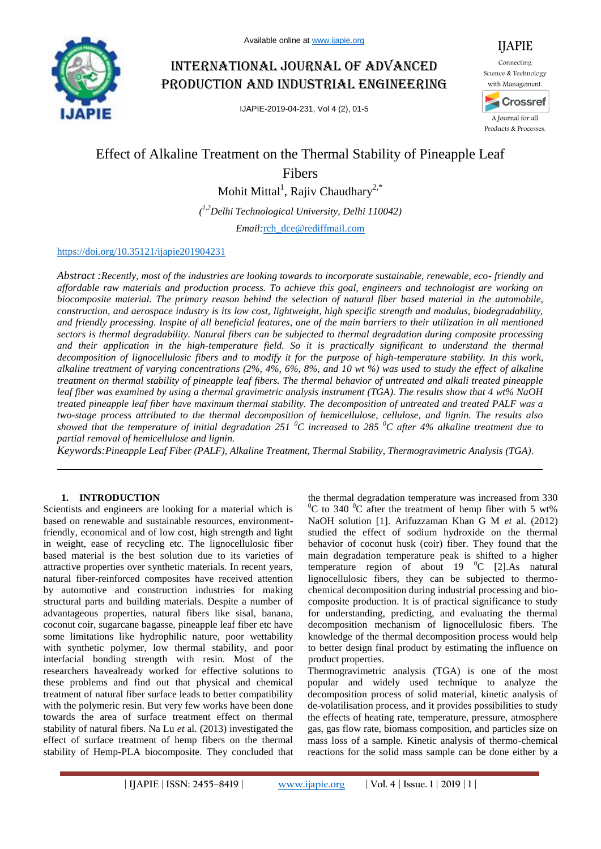

# International journal of advanced production and industrial engineering

IJAPIE-2019-04-231, Vol 4 (2), 01-5



# Effect of Alkaline Treatment on the Thermal Stability of Pineapple Leaf

Fibers

Mohit Mittal<sup>1</sup>, Rajiv Chaudhary<sup>2,\*</sup>

*( 1,2Delhi Technological University, Delhi 110042)*

*Email:*rch\_dce@rediffmail.com

## https://doi.org/10.35121/ijapie201904231

*Abstract :Recently, most of the industries are looking towards to incorporate sustainable, renewable, eco- friendly and affordable raw materials and production process. To achieve this goal, engineers and technologist are working on biocomposite material. The primary reason behind the selection of natural fiber based material in the automobile, construction, and aerospace industry is its low cost, lightweight, high specific strength and modulus, biodegradability, and friendly processing. Inspite of all beneficial features, one of the main barriers to their utilization in all mentioned sectors is thermal degradability. Natural fibers can be subjected to thermal degradation during composite processing*  and their application in the high-temperature field. So it is practically significant to understand the thermal *decomposition of lignocellulosic fibers and to modify it for the purpose of high-temperature stability. In this work, alkaline treatment of varying concentrations (2%, 4%, 6%, 8%, and 10 wt %) was used to study the effect of alkaline treatment on thermal stability of pineapple leaf fibers. The thermal behavior of untreated and alkali treated pineapple leaf fiber was examined by using a thermal gravimetric analysis instrument (TGA). The results show that 4 wt% NaOH treated pineapple leaf fiber have maximum thermal stability. The decomposition of untreated and treated PALF was a two-stage process attributed to the thermal decomposition of hemicellulose, cellulose, and lignin. The results also showed that the temperature of initial degradation 251 <sup>0</sup>C increased to 285 <sup>0</sup>C after 4% alkaline treatment due to partial removal of hemicellulose and lignin.*

*Keywords:Pineapple Leaf Fiber (PALF), Alkaline Treatment, Thermal Stability, Thermogravimetric Analysis (TGA).*

#### **1. INTRODUCTION**

Scientists and engineers are looking for a material which is based on renewable and sustainable resources, environmentfriendly, economical and of low cost, high strength and light in weight, ease of recycling etc. The lignocellulosic fiber based material is the best solution due to its varieties of attractive properties over synthetic materials. In recent years, natural fiber-reinforced composites have received attention by automotive and construction industries for making structural parts and building materials. Despite a number of advantageous properties, natural fibers like sisal, banana, coconut coir, sugarcane bagasse, pineapple leaf fiber etc have some limitations like hydrophilic nature, poor wettability with synthetic polymer, low thermal stability, and poor interfacial bonding strength with resin. Most of the researchers havealready worked for effective solutions to these problems and find out that physical and chemical treatment of natural fiber surface leads to better compatibility with the polymeric resin. But very few works have been done towards the area of surface treatment effect on thermal stability of natural fibers. Na Lu *et* al. (2013) investigated the effect of surface treatment of hemp fibers on the thermal stability of Hemp-PLA biocomposite. They concluded that

the thermal degradation temperature was increased from 330 <sup>0</sup>C to 340 <sup>0</sup>C after the treatment of hemp fiber with 5 wt% NaOH solution [1]. Arifuzzaman Khan G M *et* al. (2012) studied the effect of sodium hydroxide on the thermal behavior of coconut husk (coir) fiber. They found that the main degradation temperature peak is shifted to a higher temperature region of about 19  $^{0}$ C [2].As natural lignocellulosic fibers, they can be subjected to thermochemical decomposition during industrial processing and biocomposite production. It is of practical significance to study for understanding, predicting, and evaluating the thermal decomposition mechanism of lignocellulosic fibers. The knowledge of the thermal decomposition process would help to better design final product by estimating the influence on product properties.

Thermogravimetric analysis (TGA) is one of the most popular and widely used technique to analyze the decomposition process of solid material, kinetic analysis of de-volatilisation process, and it provides possibilities to study the effects of heating rate, temperature, pressure, atmosphere gas, gas flow rate, biomass composition, and particles size on mass loss of a sample. Kinetic analysis of thermo-chemical reactions for the solid mass sample can be done either by a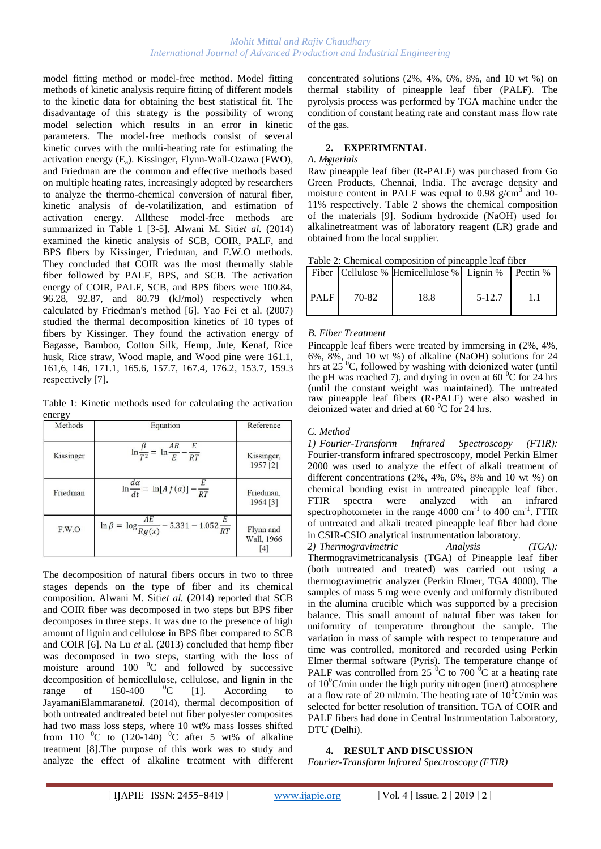model fitting method or model-free method. Model fitting methods of kinetic analysis require fitting of different models to the kinetic data for obtaining the best statistical fit. The disadvantage of this strategy is the possibility of wrong model selection which results in an error in kinetic parameters. The model-free methods consist of several kinetic curves with the multi-heating rate for estimating the activation energy (Ea). Kissinger, Flynn-Wall-Ozawa (FWO), and Friedman are the common and effective methods based on multiple heating rates, increasingly adopted by researchers to analyze the thermo-chemical conversion of natural fiber, kinetic analysis of de-volatilization, and estimation of activation energy. Allthese model-free methods are summarized in Table 1 [3-5]. Alwani M. Siti*et al.* (2014) examined the kinetic analysis of SCB, COIR, PALF, and BPS fibers by Kissinger, Friedman, and F.W.O methods. They concluded that COIR was the most thermally stable fiber followed by PALF, BPS, and SCB. The activation energy of COIR, PALF, SCB, and BPS fibers were 100.84, 96.28, 92.87, and 80.79 (kJ/mol) respectively when calculated by Friedman's method [6]. Yao Fei et al. (2007) studied the thermal decomposition kinetics of 10 types of fibers by Kissinger. They found the activation energy of Bagasse, Bamboo, Cotton Silk, Hemp, Jute, Kenaf, Rice husk, Rice straw, Wood maple, and Wood pine were 161.1, 161,6, 146, 171.1, 165.6, 157.7, 167.4, 176.2, 153.7, 159.3 respectively [7].

Table 1: Kinetic methods used for calculating the activation energy

| Methods   | Equation                                                        | Reference                                  |
|-----------|-----------------------------------------------------------------|--------------------------------------------|
| Kissinger | $\ln \frac{\beta}{T^2} = \ln \frac{AR}{E} - \frac{E}{RT}$       | Kissinger,<br>$1957$ [2]                   |
| Friedman  | $\ln \frac{d\alpha}{dt} = \ln[A f(\alpha)] - \frac{E}{RT}$      | Friedman,<br>1964 [3]                      |
| F.W.O     | $\ln \beta = \ln \frac{AE}{Rg(x)} - 5.331 - 1.052 \frac{E}{RT}$ | Flynn and<br>Wall, 1966<br>$\vert 4 \vert$ |

The decomposition of natural fibers occurs in two to three stages depends on the type of fiber and its chemical composition. Alwani M. Siti*et al.* (2014) reported that SCB and COIR fiber was decomposed in two steps but BPS fiber decomposes in three steps. It was due to the presence of high amount of lignin and cellulose in BPS fiber compared to SCB and COIR [6]. Na Lu *et* al. (2013) concluded that hemp fiber was decomposed in two steps, starting with the loss of moisture around 100  $^{\circ}$ C and followed by successive decomposition of hemicellulose, cellulose, and lignin in the range of  $150-400$  <sup>0</sup>C [1]. According to JayamaniElammaran*etal.* (2014), thermal decomposition of both untreated andtreated betel nut fiber polyester composites had two mass loss steps, where 10 wt% mass losses shifted from 110  $^{\circ}$ C to (120-140)  $^{\circ}$ C after 5 wt% of alkaline treatment [8].The purpose of this work was to study and analyze the effect of alkaline treatment with different

concentrated solutions (2%, 4%, 6%, 8%, and 10 wt %) on thermal stability of pineapple leaf fiber (PALF). The pyrolysis process was performed by TGA machine under the condition of constant heating rate and constant mass flow rate of the gas.

# **2. EXPERIMENTAL**

#### *A. Materials* 3.

Raw pineapple leaf fiber (R-PALF) was purchased from Go Green Products, Chennai, India. The average density and moisture content in PALF was equal to  $0.98 \text{ g/cm}^3$  and 10-11% respectively. Table 2 shows the chemical composition of the materials [9]. Sodium hydroxide (NaOH) used for alkalinetreatment was of laboratory reagent (LR) grade and obtained from the local supplier.

Table 2: Chemical composition of pineapple leaf fiber

|             |       | Fiber   Cellulose % Hemicellulose %   Lignin % |          | Pectin % |
|-------------|-------|------------------------------------------------|----------|----------|
| <b>PALF</b> | 70-82 | 18.8                                           | $5-12.7$ |          |

#### *B. Fiber Treatment*

Pineapple leaf fibers were treated by immersing in (2%, 4%, 6%, 8%, and 10 wt %) of alkaline (NaOH) solutions for 24 hrs at  $25\,^{\circ}$ C, followed by washing with deionized water (until the pH was reached 7), and drying in oven at 60  $^{\circ}$ C for 24 hrs (until the constant weight was maintained). The untreated raw pineapple leaf fibers (R-PALF) were also washed in deionized water and dried at  $60<sup>0</sup>C$  for 24 hrs.

## *C. Method*

*1) Fourier-Transform Infrared Spectroscopy (FTIR):*  Fourier-transform infrared spectroscopy, model Perkin Elmer 2000 was used to analyze the effect of alkali treatment of different concentrations (2%, 4%, 6%, 8% and 10 wt %) on chemical bonding exist in untreated pineapple leaf fiber. FTIR spectra were analyzed with an infrared spectrophotometer in the range  $4000 \text{ cm}^{-1}$  to  $400 \text{ cm}^{-1}$ . FTIR of untreated and alkali treated pineapple leaf fiber had done in CSIR-CSIO analytical instrumentation laboratory.

*2) Thermogravimetric Analysis (TGA):*  Thermogravimetricanalysis (TGA) of Pineapple leaf fiber (both untreated and treated) was carried out using a thermogravimetric analyzer (Perkin Elmer, TGA 4000). The samples of mass 5 mg were evenly and uniformly distributed in the alumina crucible which was supported by a precision balance. This small amount of natural fiber was taken for uniformity of temperature throughout the sample. The variation in mass of sample with respect to temperature and time was controlled, monitored and recorded using Perkin Elmer thermal software (Pyris). The temperature change of PALF was controlled from  $25\,^0C$  to 700  $^0C$  at a heating rate of  $10^0$ C/min under the high purity nitrogen (inert) atmosphere at a flow rate of 20 ml/min. The heating rate of  $10^{0}$ C/min was selected for better resolution of transition. TGA of COIR and PALF fibers had done in Central Instrumentation Laboratory, DTU (Delhi).

## **4. RESULT AND DISCUSSION**

*Fourier-Transform Infrared Spectroscopy (FTIR)*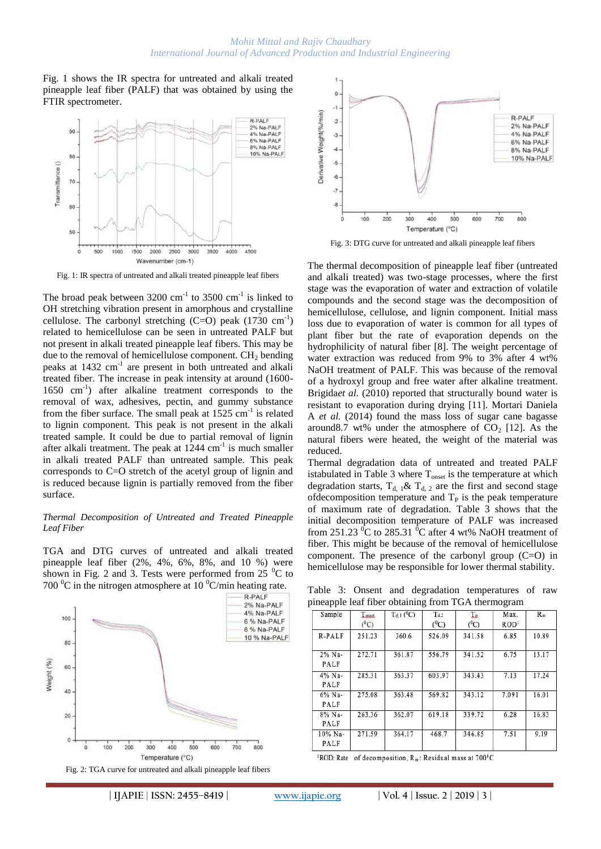Fig. 1 shows the IR spectra for untreated and alkali treated pineapple leaf fiber (PALF) that was obtained by using the FTIR spectrometer.



Fig. 1: IR spectra of untreated and alkali treated pineapple leaf fibers

The broad peak between  $3200 \text{ cm}^{-1}$  to  $3500 \text{ cm}^{-1}$  is linked to OH stretching vibration present in amorphous and crystalline cellulose. The carbonyl stretching  $(C=O)$  peak  $(1730 \text{ cm}^{-1})$ related to hemicellulose can be seen in untreated PALF but not present in alkali treated pineapple leaf fibers. This may be due to the removal of hemicellulose component.  $CH<sub>2</sub>$  bending peaks at 1432 cm<sup>-1</sup> are present in both untreated and alkali treated fiber. The increase in peak intensity at around (1600- 1650 cm-1 ) after alkaline treatment corresponds to the removal of wax, adhesives, pectin, and gummy substance from the fiber surface. The small peak at  $1525 \text{ cm}^{-1}$  is related to lignin component. This peak is not present in the alkali treated sample. It could be due to partial removal of lignin after alkali treatment. The peak at  $1244 \text{ cm}^{-1}$  is much smaller in alkali treated PALF than untreated sample. This peak corresponds to C=O stretch of the acetyl group of lignin and is reduced because lignin is partially removed from the fiber surface.

#### *Thermal Decomposition of Untreated and Treated Pineapple Leaf Fiber*

TGA and DTG curves of untreated and alkali treated pineapple leaf fiber (2%, 4%, 6%, 8%, and 10 %) were shown in Fig. 2 and 3. Tests were performed from  $25\degree C$  to 700  $\rm{^0C}$  in the nitrogen atmosphere at 10  $\rm{^0C/min}$  heating rate.





Fig. 3: DTG curve for untreated and alkali pineapple leaf fibers

The thermal decomposition of pineapple leaf fiber (untreated and alkali treated) was two-stage processes, where the first stage was the evaporation of water and extraction of volatile compounds and the second stage was the decomposition of hemicellulose, cellulose, and lignin component. Initial mass loss due to evaporation of water is common for all types of plant fiber but the rate of evaporation depends on the hydrophilicity of natural fiber [8]. The weight percentage of water extraction was reduced from 9% to 3% after 4 wt% NaOH treatment of PALF. This was because of the removal of a hydroxyl group and free water after alkaline treatment. Brigida*et al.* (2010) reported that structurally bound water is resistant to evaporation during drying [11]. Mortari Daniela A *et al.* (2014) found the mass loss of sugar cane bagasse around8.7 wt% under the atmosphere of  $CO<sub>2</sub>$  [12]. As the natural fibers were heated, the weight of the material was reduced.

Thermal degradation data of untreated and treated PALF istabulated in Table 3 where  $T_{onset}$  is the temperature at which degradation starts,  $T_{d,1}$ &  $T_{d,2}$  are the first and second stage ofdecomposition temperature and  $T<sub>P</sub>$  is the peak temperature of maximum rate of degradation. Table 3 shows that the initial decomposition temperature of PALF was increased from 251.23  $\mathrm{^0C}$  to 285.31  $\mathrm{^0C}$  after 4 wt% NaOH treatment of fiber. This might be because of the removal of hemicellulose component. The presence of the carbonyl group (C=O) in hemicellulose may be responsible for lower thermal stability.

Table 3: Onsent and degradation temperatures of raw pineapple leaf fiber obtaining from TGA thermogram

| . .             |                   |                             |                      |                 |                          |       |
|-----------------|-------------------|-----------------------------|----------------------|-----------------|--------------------------|-------|
| Sample          | Lousst<br>$(^0C)$ | $T_{d,1}$ ( <sup>0</sup> C) | $T_{d,2}$<br>$(^0C)$ | T.<br>$(^{0}C)$ | Max.<br>ROD <sup>1</sup> | $R_m$ |
| R-PALF          | 251.23            | 360.6                       | 526.09               | 341.58          | 6.85                     | 10.89 |
| 2% Na-<br>PALF  | 272.71            | 361.87                      | 556.79               | 341.52          | 6.75                     | 13.17 |
| 4% Na-<br>PALF  | 285.31            | 363.37                      | 603.97               | 343.43          | 7.13                     | 17.24 |
| 6% Na-<br>PALF  | 275.08            | 363.48                      | 569.82               | 343.12          | 7.091                    | 16.01 |
| 8% Na-<br>PALF  | 263.36            | 362.07                      | 619.18               | 339.72          | 6.28                     | 16.83 |
| 10% Na-<br>PALF | 271.59            | 364.17                      | 468.7                | 346.85          | 7.51                     | 9.19  |
|                 |                   |                             |                      |                 |                          |       |

<sup>1</sup>ROD: Rate of decomposition,  $R_m$ : Residual mass at 700<sup>0</sup>C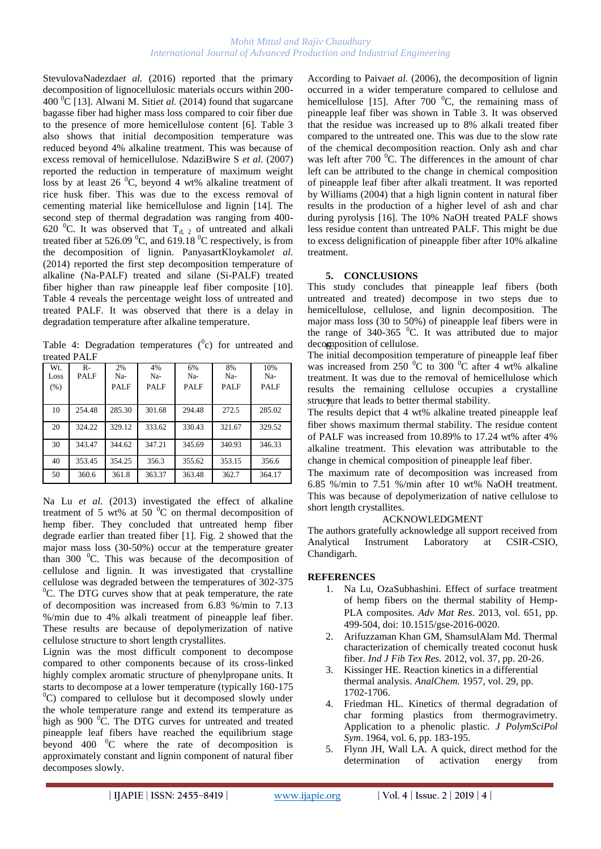StevulovaNadezdaet al. (2016) reported that the primary decomposition of lignocellulosic materials occurs within 200- 400 <sup>0</sup>C [13]. Alwani M. Siti*et al.* (2014) found that sugarcane bagasse fiber had higher mass loss compared to coir fiber due to the presence of more hemicellulose content [6]. Table 3 also shows that initial decomposition temperature was reduced beyond 4% alkaline treatment. This was because of excess removal of hemicellulose. NdaziBwire S *et al.* (2007) reported the reduction in temperature of maximum weight loss by at least 26  $^{\circ}$ C, beyond 4 wt% alkaline treatment of rice husk fiber. This was due to the excess removal of cementing material like hemicellulose and lignin [14]. The second step of thermal degradation was ranging from 400- 620 <sup>o</sup>C. It was observed that  $T_{d, 2}$  of untreated and alkali treated fiber at 526.09  $^{0}$ C, and 619.18  $^{0}$ C respectively, is from the decomposition of lignin. PanyasartKloykamol*et al.* (2014) reported the first step decomposition temperature of alkaline (Na-PALF) treated and silane (Si-PALF) treated fiber higher than raw pineapple leaf fiber composite [10]. Table 4 reveals the percentage weight loss of untreated and treated PALF. It was observed that there is a delay in degradation temperature after alkaline temperature.

Table 4: Degradation temperatures  $(^0c)$  for untreated and treated PALF

| Wt.<br>Loss<br>(% ) | $R-$<br>PALF | 2%<br>Na-<br><b>PALF</b> | 4%<br>Na-<br><b>PALF</b> | 6%<br>Na-<br><b>PALF</b> | 8%<br>Na-<br><b>PALF</b> | 10%<br>Na-<br><b>PALF</b> |
|---------------------|--------------|--------------------------|--------------------------|--------------------------|--------------------------|---------------------------|
| 10                  | 254.48       | 285.30                   | 301.68                   | 294.48                   | 272.5                    | 285.02                    |
| 20                  | 324.22       | 329.12                   | 333.62                   | 330.43                   | 321.67                   | 329.52                    |
| 30                  | 343.47       | 344.62                   | 347.21                   | 345.69                   | 340.93                   | 346.33                    |
| 40                  | 353.45       | 354.25                   | 356.3                    | 355.62                   | 353.15                   | 356.6                     |
| 50                  | 360.6        | 361.8                    | 363.37                   | 363.48                   | 362.7                    | 364.17                    |

Na Lu *et al.* (2013) investigated the effect of alkaline treatment of 5 wt% at 50  $\mathrm{^0C}$  on thermal decomposition of hemp fiber. They concluded that untreated hemp fiber degrade earlier than treated fiber [1]. Fig. 2 showed that the major mass loss (30-50%) occur at the temperature greater than 300 $\degree$ C. This was because of the decomposition of cellulose and lignin. It was investigated that crystalline cellulose was degraded between the temperatures of 302-375  ${}^{0}$ C. The DTG curves show that at peak temperature, the rate of decomposition was increased from 6.83 %/min to 7.13 %/min due to 4% alkali treatment of pineapple leaf fiber. These results are because of depolymerization of native cellulose structure to short length crystallites.

Lignin was the most difficult component to decompose compared to other components because of its cross-linked highly complex aromatic structure of phenylpropane units. It starts to decompose at a lower temperature (typically 160-175  $^{0}$ C) compared to cellulose but it decomposed slowly under the whole temperature range and extend its temperature as high as  $900\text{ °C}$ . The DTG curves for untreated and treated pineapple leaf fibers have reached the equilibrium stage beyond  $400<sup>0</sup>C$  where the rate of decomposition is approximately constant and lignin component of natural fiber decomposes slowly.

According to Paiva*et al.* (2006), the decomposition of lignin occurred in a wider temperature compared to cellulose and hemicellulose [15]. After 700  $^{0}C$ , the remaining mass of pineapple leaf fiber was shown in Table 3. It was observed that the residue was increased up to 8% alkali treated fiber compared to the untreated one. This was due to the slow rate of the chemical decomposition reaction. Only ash and char was left after  $700<sup>0</sup>C$ . The differences in the amount of char left can be attributed to the change in chemical composition of pineapple leaf fiber after alkali treatment. It was reported by Williams (2004) that a high lignin content in natural fiber results in the production of a higher level of ash and char during pyrolysis [16]. The 10% NaOH treated PALF shows less residue content than untreated PALF. This might be due to excess delignification of pineapple fiber after 10% alkaline treatment.

## **5. CONCLUSIONS**

This study concludes that pineapple leaf fibers (both untreated and treated) decompose in two steps due to hemicellulose, cellulose, and lignin decomposition. The major mass loss (30 to 50%) of pineapple leaf fibers were in the range of  $340-365$  <sup>0</sup>C. It was attributed due to major decomposition of cellulose.

The initial decomposition temperature of pineapple leaf fiber was increased from 250  $^{\circ}$ C to 300  $^{\circ}$ C after 4 wt% alkaline treatment. It was due to the removal of hemicellulose which results the remaining cellulose occupies a crystalline structure that leads to better thermal stability.

The results depict that 4 wt% alkaline treated pineapple leaf fiber shows maximum thermal stability. The residue content of PALF was increased from 10.89% to 17.24 wt% after 4% alkaline treatment. This elevation was attributable to the change in chemical composition of pineapple leaf fiber.

The maximum rate of decomposition was increased from 6.85 %/min to 7.51 %/min after 10 wt% NaOH treatment. This was because of depolymerization of native cellulose to short length crystallites.

## ACKNOWLEDGMENT

The authors gratefully acknowledge all support received from Analytical Instrument Laboratory at CSIR-CSIO, Chandigarh.

## **REFERENCES**

- 1. Na Lu, OzaSubhashini. Effect of surface treatment of hemp fibers on the thermal stability of Hemp-PLA composites. *Adv Mat Res*. 2013, vol. 651, pp. 499-504, doi: 10.1515/gse-2016-0020.
- 2. Arifuzzaman Khan GM, ShamsulAlam Md. Thermal characterization of chemically treated coconut husk fiber. *Ind J Fib Tex Res.* 2012, vol. 37, pp. 20-26.
- 3. Kissinger HE. Reaction kinetics in a differential thermal analysis. *AnalChem.* 1957, vol. 29, pp. 1702-1706.
- 4. Friedman HL. Kinetics of thermal degradation of char forming plastics from thermogravimetry. Application to a phenolic plastic. *J PolymSciPol Sym*. 1964, vol. 6, pp. 183-195.
- 5. Flynn JH, Wall LA. A quick, direct method for the determination of activation energy from